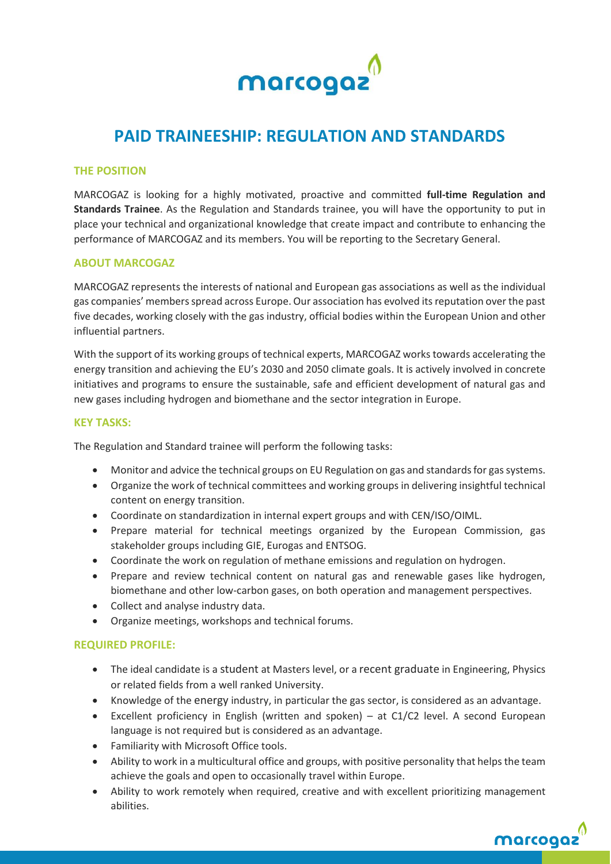

# **PAID TRAINEESHIP: REGULATION AND STANDARDS**

# **THE POSITION**

MARCOGAZ is looking for a highly motivated, proactive and committed **full-time Regulation and Standards Trainee**. As the Regulation and Standards trainee, you will have the opportunity to put in place your technical and organizational knowledge that create impact and contribute to enhancing the performance of MARCOGAZ and its members. You will be reporting to the Secretary General.

# **ABOUT MARCOGAZ**

MARCOGAZ represents the interests of national and European gas associations as well as the individual gas companies' members spread across Europe. Our association has evolved its reputation over the past five decades, working closely with the gas industry, official bodies within the European Union and other influential partners.

With the support of its working groups of technical experts, MARCOGAZ works towards accelerating the energy transition and achieving the EU's 2030 and 2050 climate goals. It is actively involved in concrete initiatives and programs to ensure the sustainable, safe and efficient development of natural gas and new gases including hydrogen and biomethane and the sector integration in Europe.

## **KEY TASKS:**

The Regulation and Standard trainee will perform the following tasks:

- Monitor and advice the technical groups on EU Regulation on gas and standards for gas systems.
- Organize the work of technical committees and working groups in delivering insightful technical content on energy transition.
- Coordinate on standardization in internal expert groups and with CEN/ISO/OIML.
- Prepare material for technical meetings organized by the European Commission, gas stakeholder groups including GIE, Eurogas and ENTSOG.
- Coordinate the work on regulation of methane emissions and regulation on hydrogen.
- Prepare and review technical content on natural gas and renewable gases like hydrogen, biomethane and other low-carbon gases, on both operation and management perspectives.
- Collect and analyse industry data.
- Organize meetings, workshops and technical forums.

# **REQUIRED PROFILE:**

- The ideal candidate is a student at Masters level, or a recent graduate in Engineering, Physics or related fields from a well ranked University.
- Knowledge of the energy industry, in particular the gas sector, is considered as an advantage.
- Excellent proficiency in English (written and spoken) at C1/C2 level. A second European language is not required but is considered as an advantage.
- Familiarity with Microsoft Office tools.
- Ability to work in a multicultural office and groups, with positive personality that helps the team achieve the goals and open to occasionally travel within Europe.
- Ability to work remotely when required, creative and with excellent prioritizing management abilities.